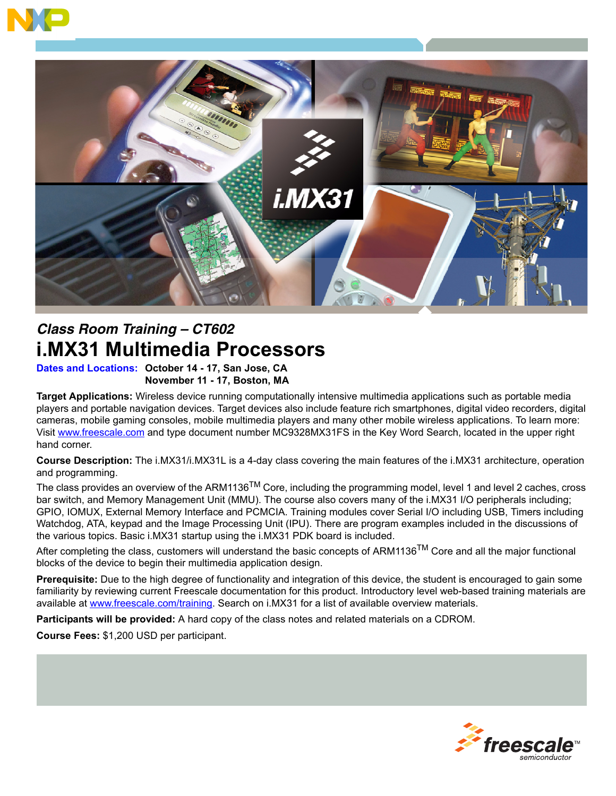



## *Class Room Training – CT602* **i.MX31 Multimedia Processors**

**Dates and Locations: October 14 - 17, San Jose, CA November 11 - 17, Boston, MA**

**Target Applications:** Wireless device running computationally intensive multimedia applications such as portable media players and portable navigation devices. Target devices also include feature rich smartphones, digital video recorders, digital cameras, mobile gaming consoles, mobile multimedia players and many other mobile wireless applications. To learn more: Visit www.freescale.com and type document number MC9328MX31FS in the Key Word Search, located in the upper right hand corner.

**Course Description:** The i.MX31/i.MX31L is a 4-day class covering the main features of the i.MX31 architecture, operation and programming.

The class provides an overview of the ARM1136<sup>TM</sup> Core, including the programming model, level 1 and level 2 caches, cross bar switch, and Memory Management Unit (MMU). The course also covers many of the i.MX31 I/O peripherals including; GPIO, IOMUX, External Memory Interface and PCMCIA. Training modules cover Serial I/O including USB, Timers including Watchdog, ATA, keypad and the Image Processing Unit (IPU). There are program examples included in the discussions of the various topics. Basic i.MX31 startup using the i.MX31 PDK board is included.

After completing the class, customers will understand the basic concepts of ARM1136<sup>TM</sup> Core and all the major functional blocks of the device to begin their multimedia application design.

**Prerequisite:** Due to the high degree of functionality and integration of this device, the student is encouraged to gain some familiarity by reviewing current Freescale documentation for this product. Introductory level web-based training materials are available at www.freescale.com/training. Search on i.MX31 for a list of available overview materials.

**Participants will be provided:** A hard copy of the class notes and related materials on a CDROM.

**Course Fees:** \$1,200 USD per participant.